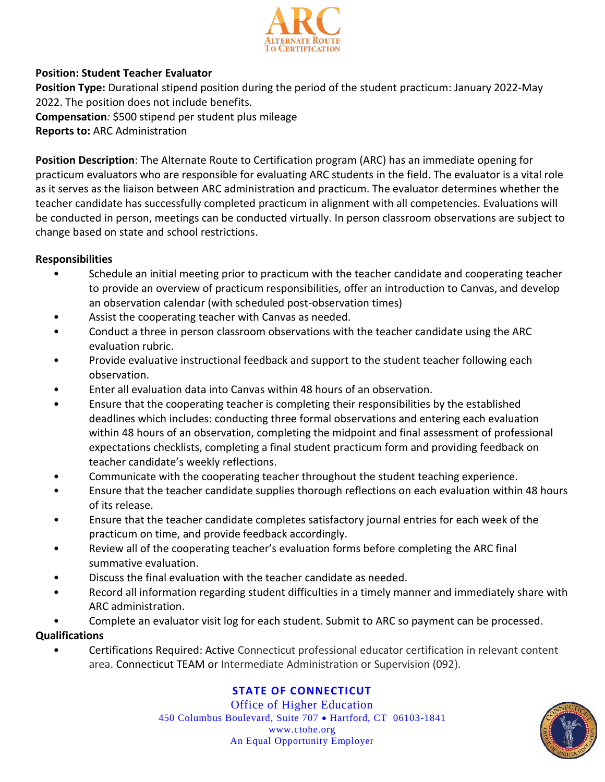

## **Position: Student Teacher Evaluator**

**Position Type:** Durational stipend position during the period of the student practicum: January 2022-May 2022. The position does not include benefits. **Compensation***:* \$500 stipend per student plus mileage **Reports to:** ARC Administration

**Position Description**: The Alternate Route to Certification program (ARC) has an immediate opening for practicum evaluators who are responsible for evaluating ARC students in the field. The evaluator is a vital role as it serves as the liaison between ARC administration and practicum. The evaluator determines whether the teacher candidate has successfully completed practicum in alignment with all competencies. Evaluations will be conducted in person, meetings can be conducted virtually. In person classroom observations are subject to change based on state and school restrictions.

### **Responsibilities**

- Schedule an initial meeting prior to practicum with the teacher candidate and cooperating teacher to provide an overview of practicum responsibilities, offer an introduction to Canvas, and develop an observation calendar (with scheduled post-observation times)
- Assist the cooperating teacher with Canvas as needed.
- Conduct a three in person classroom observations with the teacher candidate using the ARC evaluation rubric.
- Provide evaluative instructional feedback and support to the student teacher following each observation.
- Enter all evaluation data into Canvas within 48 hours of an observation.
- Ensure that the cooperating teacher is completing their responsibilities by the established deadlines which includes: conducting three formal observations and entering each evaluation within 48 hours of an observation, completing the midpoint and final assessment of professional expectations checklists, completing a final student practicum form and providing feedback on teacher candidate's weekly reflections.
- Communicate with the cooperating teacher throughout the student teaching experience.
- Ensure that the teacher candidate supplies thorough reflections on each evaluation within 48 hours of its release.
- Ensure that the teacher candidate completes satisfactory journal entries for each week of the practicum on time, and provide feedback accordingly.
- Review all of the cooperating teacher's evaluation forms before completing the ARC final summative evaluation.
- Discuss the final evaluation with the teacher candidate as needed.
- Record all information regarding student difficulties in a timely manner and immediately share with ARC administration.
- Complete an evaluator visit log for each student. Submit to ARC so payment can be processed.

### **Qualifications**

• Certifications Required: Active Connecticut professional educator certification in relevant content area. Connecticut TEAM or Intermediate Administration or Supervision (092).

# **STATE OF CONNECTICUT**

Office of Higher Education 450 Columbus Boulevard, Suite 707 · Hartford, CT 06103-1841 www.ctohe.org An Equal Opportunity Employer